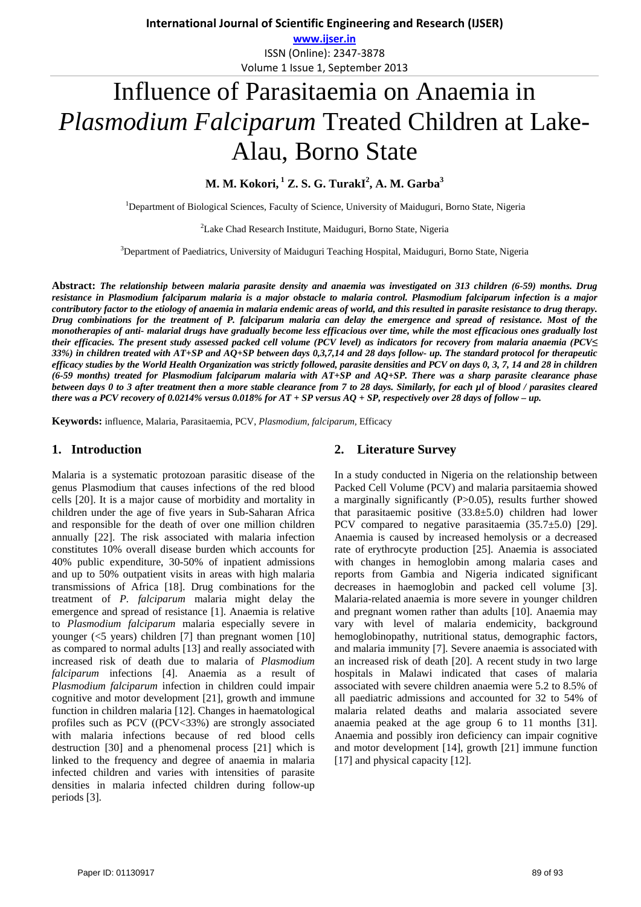**www.ijser.in** ISSN (Online): 2347‐3878 Volume 1 Issue 1, September 2013

# Influence of Parasitaemia on Anaemia in *Plasmodium Falciparum* Treated Children at Lake-Alau, Borno State

**M. M. Kokori, 1 Z. S. G. TurakI2 , A. M. Garba<sup>3</sup>**

<sup>1</sup>Department of Biological Sciences, Faculty of Science, University of Maiduguri, Borno State, Nigeria

<sup>2</sup> Lake Chad Research Institute, Maiduguri, Borno State, Nigeria

3 Department of Paediatrics, University of Maiduguri Teaching Hospital, Maiduguri, Borno State, Nigeria

**Abstract:** *The relationship between malaria parasite density and anaemia was investigated on 313 children (6-59) months. Drug resistance in Plasmodium falciparum malaria is a major obstacle to malaria control. Plasmodium falciparum infection is a major contributory factor to the etiology of anaemia in malaria endemic areas of world, and this resulted in parasite resistance to drug therapy. Drug combinations for the treatment of P. falciparum malaria can delay the emergence and spread of resistance. Most of the monotherapies of anti- malarial drugs have gradually become less efficacious over time, while the most efficacious ones gradually lost their efficacies. The present study assessed packed cell volume (PCV level) as indicators for recovery from malaria anaemia (PCV≤ 33%) in children treated with AT+SP and AQ+SP between days 0,3,7,14 and 28 days follow- up. The standard protocol for therapeutic efficacy studies by the World Health Organization was strictly followed, parasite densities and PCV on days 0, 3, 7, 14 and 28 in children (6-59 months) treated for Plasmodium falciparum malaria with AT+SP and AQ+SP. There was a sharp parasite clearance phase between days 0 to 3 after treatment then a more stable clearance from 7 to 28 days. Similarly, for each µl of blood / parasites cleared there was a PCV recovery of 0.0214% versus 0.018% for AT + SP versus AQ + SP, respectively over 28 days of follow – up.* 

**Keywords:** influence, Malaria, Parasitaemia, PCV, *Plasmodium, falciparum,* Efficacy

## **1. Introduction**

Malaria is a systematic protozoan parasitic disease of the genus Plasmodium that causes infections of the red blood cells [20]. It is a major cause of morbidity and mortality in children under the age of five years in Sub-Saharan Africa and responsible for the death of over one million children annually [22]. The risk associated with malaria infection constitutes 10% overall disease burden which accounts for 40% public expenditure, 30-50% of inpatient admissions and up to 50% outpatient visits in areas with high malaria transmissions of Africa [18]. Drug combinations for the treatment of *P. falciparum* malaria might delay the emergence and spread of resistance [1]. Anaemia is relative to *Plasmodium falciparum* malaria especially severe in younger (<5 years) children [7] than pregnant women [10] as compared to normal adults [13] and really associated with increased risk of death due to malaria of *Plasmodium falciparum* infections [4]. Anaemia as a result of *Plasmodium falciparum* infection in children could impair cognitive and motor development [21], growth and immune function in children malaria [12]. Changes in haematological profiles such as PCV ((PCV<33%) are strongly associated with malaria infections because of red blood cells destruction [30] and a phenomenal process [21] which is linked to the frequency and degree of anaemia in malaria infected children and varies with intensities of parasite densities in malaria infected children during follow-up periods [3].

## **2. Literature Survey**

In a study conducted in Nigeria on the relationship between Packed Cell Volume (PCV) and malaria parsitaemia showed a marginally significantly (P>0.05), results further showed that parasitaemic positive (33.8±5.0) children had lower PCV compared to negative parasitaemia (35.7±5.0) [29]. Anaemia is caused by increased hemolysis or a decreased rate of erythrocyte production [25]. Anaemia is associated with changes in hemoglobin among malaria cases and reports from Gambia and Nigeria indicated significant decreases in haemoglobin and packed cell volume [3]. Malaria-related anaemia is more severe in younger children and pregnant women rather than adults [10]. Anaemia may vary with level of malaria endemicity, background hemoglobinopathy, nutritional status, demographic factors, and malaria immunity [7]. Severe anaemia is associated with an increased risk of death [20]. A recent study in two large hospitals in Malawi indicated that cases of malaria associated with severe children anaemia were 5.2 to 8.5% of all paediatric admissions and accounted for 32 to 54% of malaria related deaths and malaria associated severe anaemia peaked at the age group 6 to 11 months [31]. Anaemia and possibly iron deficiency can impair cognitive and motor development [14], growth [21] immune function [17] and physical capacity [12].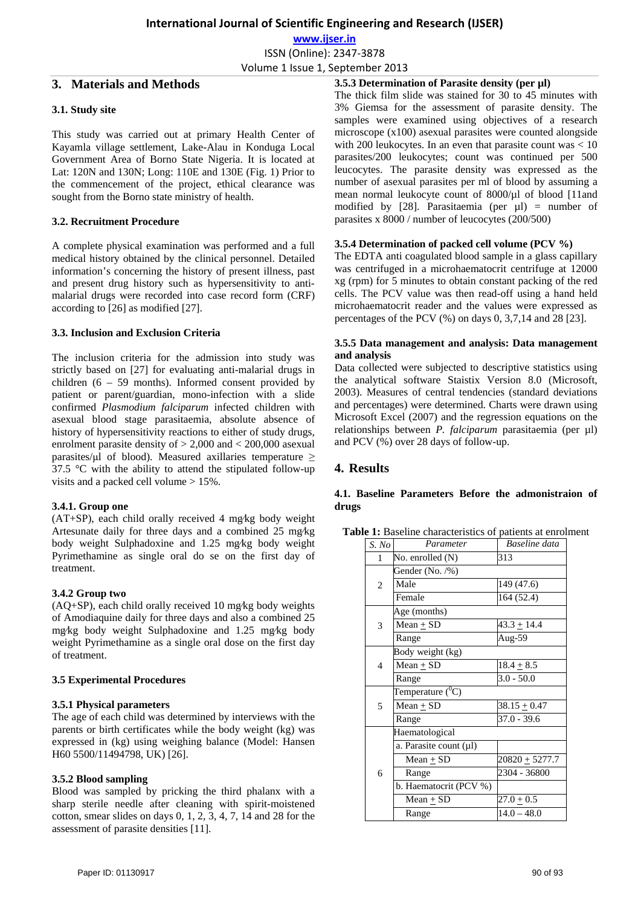**www.ijser.in** ISSN (Online): 2347‐3878

Volume 1 Issue 1, September 2013

## **3. Materials and Methods**

## **3.1. Study site**

This study was carried out at primary Health Center of Kayamla village settlement, Lake-Alau in Konduga Local Government Area of Borno State Nigeria. It is located at Lat: 120N and 130N; Long: 110E and 130E (Fig. 1) Prior to the commencement of the project, ethical clearance was sought from the Borno state ministry of health.

## **3.2. Recruitment Procedure**

A complete physical examination was performed and a full medical history obtained by the clinical personnel. Detailed information's concerning the history of present illness, past and present drug history such as hypersensitivity to antimalarial drugs were recorded into case record form (CRF) according to [26] as modified [27].

## **3.3. Inclusion and Exclusion Criteria**

The inclusion criteria for the admission into study was strictly based on [27] for evaluating anti-malarial drugs in children (6 – 59 months). Informed consent provided by patient or parent/guardian, mono-infection with a slide confirmed *Plasmodium falciparum* infected children with asexual blood stage parasitaemia, absolute absence of history of hypersensitivity reactions to either of study drugs, enrolment parasite density of > 2,000 and < 200,000 asexual parasites/μl of blood). Measured axillaries temperature  $\geq$ 37.5 °C with the ability to attend the stipulated follow-up visits and a packed cell volume > 15%.

## **3.4.1. Group one**

(AT+SP), each child orally received 4 mg⁄kg body weight Artesunate daily for three days and a combined 25 mg⁄kg body weight Sulphadoxine and 1.25 mg⁄kg body weight Pyrimethamine as single oral do se on the first day of treatment.

## **3.4.2 Group two**

(AQ+SP), each child orally received 10 mg⁄kg body weights of Amodiaquine daily for three days and also a combined 25 mg⁄kg body weight Sulphadoxine and 1.25 mg⁄kg body weight Pyrimethamine as a single oral dose on the first day of treatment.

## **3.5 Experimental Procedures**

## **3.5.1 Physical parameters**

The age of each child was determined by interviews with the parents or birth certificates while the body weight (kg) was expressed in (kg) using weighing balance (Model: Hansen H60 5500/11494798, UK) [26].

## **3.5.2 Blood sampling**

Blood was sampled by pricking the third phalanx with a sharp sterile needle after cleaning with spirit-moistened cotton, smear slides on days 0, 1, 2, 3, 4, 7, 14 and 28 for the assessment of parasite densities [11].

**3.5.3 Determination of Parasite density (per µl)**  The thick film slide was stained for 30 to 45 minutes with 3% Giemsa for the assessment of parasite density. The samples were examined using objectives of a research microscope (x100) asexual parasites were counted alongside with 200 leukocytes. In an even that parasite count was  $< 10$ parasites/200 leukocytes; count was continued per 500 leucocytes. The parasite density was expressed as the number of asexual parasites per ml of blood by assuming a mean normal leukocyte count of 8000/µl of blood [11and modified by [28]. Parasitaemia (per  $\mu$ l) = number of parasites x 8000 / number of leucocytes (200/500)

## **3.5.4 Determination of packed cell volume (PCV %)**

The EDTA anti coagulated blood sample in a glass capillary was centrifuged in a microhaematocrit centrifuge at 12000 xg (rpm) for 5 minutes to obtain constant packing of the red cells. The PCV value was then read-off using a hand held microhaematocrit reader and the values were expressed as percentages of the PCV (%) on days 0, 3,7,14 and 28 [23].

## **3.5.5 Data management and analysis: Data management and analysis**

Data collected were subjected to descriptive statistics using the analytical software Staistix Version 8.0 (Microsoft, 2003). Measures of central tendencies (standard deviations and percentages) were determined. Charts were drawn using Microsoft Excel (2007) and the regression equations on the relationships between *P. falciparum* parasitaemia (per ul) and PCV (%) over 28 days of follow-up.

# **4. Results**

## **4.1. Baseline Parameters Before the admonistraion of drugs**

|       | <b>Table 1:</b> Baseline characteristics of patients at enrolment |               |  |
|-------|-------------------------------------------------------------------|---------------|--|
| S. No | Parameter                                                         | Baseline data |  |
|       | No. enrolled $(N)$                                                | 313           |  |
|       |                                                                   |               |  |

| S. No          | Parameter                   | Baseline data    |  |  |
|----------------|-----------------------------|------------------|--|--|
| 1              | No. enrolled (N)            | 313              |  |  |
|                | Gender (No. /%)             |                  |  |  |
| $\overline{c}$ | Male                        | 149 (47.6)       |  |  |
|                | Female                      | 164 (52.4)       |  |  |
|                | Age (months)                |                  |  |  |
| 3              | $Mean + SD$                 | $43.3 \pm 14.4$  |  |  |
|                | Range                       | Aug-59           |  |  |
| 4              | Body weight (kg)            |                  |  |  |
|                | Mean $\pm$ SD               | $18.4 \pm 8.5$   |  |  |
|                | Range                       | $3.0 - 50.0$     |  |  |
| 5              | Temperature $(^0C)$         |                  |  |  |
|                | $Mean + SD$                 | $38.15 \pm 0.47$ |  |  |
|                | Range                       | $37.0 - 39.6$    |  |  |
|                | Haematological              |                  |  |  |
| 6              | a. Parasite count $(\mu l)$ |                  |  |  |
|                | $Mean + SD$                 | $20820 + 5277.7$ |  |  |
|                | Range                       | 2304 - 36800     |  |  |
|                | b. Haematocrit (PCV %)      |                  |  |  |
|                | Mean $\pm$ SD               | $27.0 \pm 0.5$   |  |  |
|                | Range                       | $14.0 - 48.0$    |  |  |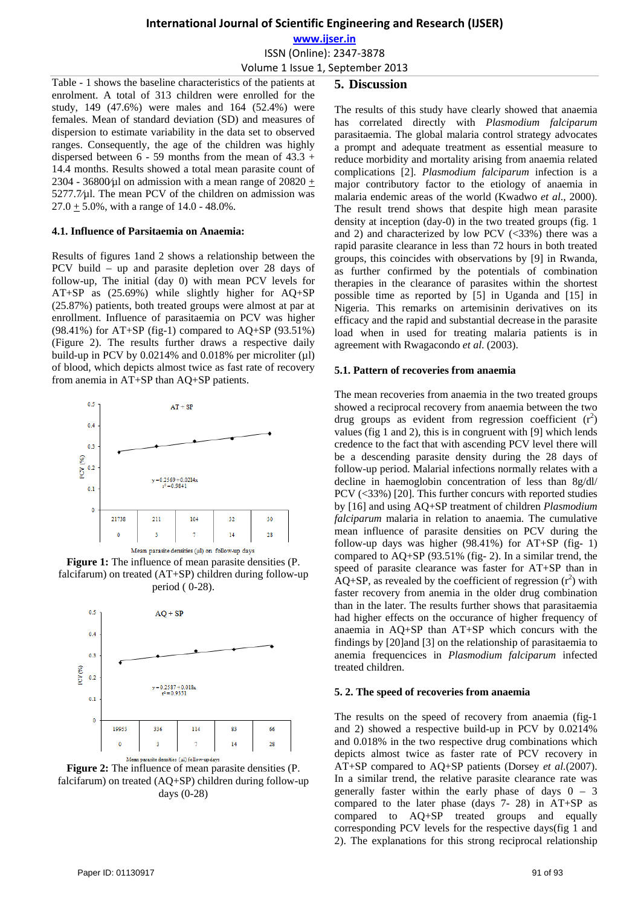**www.ijser.in**

ISSN (Online): 2347‐3878

Volume 1 Issue 1, September 2013

#### **5. Discussion**

Table - 1 shows the baseline characteristics of the patients at enrolment. A total of 313 children were enrolled for the study, 149 (47.6%) were males and 164 (52.4%) were females. Mean of standard deviation (SD) and measures of dispersion to estimate variability in the data set to observed ranges. Consequently, the age of the children was highly dispersed between  $6 - 59$  months from the mean of  $43.3 +$ 14.4 months. Results showed a total mean parasite count of 2304 - 36800 $\mu$ l on admission with a mean range of 20820 + 5277.7⁄µl. The mean PCV of the children on admission was  $27.0 \pm 5.0\%$ , with a range of 14.0 - 48.0%.

#### **4.1. Influence of Parsitaemia on Anaemia:**

Results of figures 1and 2 shows a relationship between the PCV build – up and parasite depletion over 28 days of follow-up, The initial (day 0) with mean PCV levels for AT+SP as (25.69%) while slightly higher for AQ+SP (25.87%) patients, both treated groups were almost at par at enrollment. Influence of parasitaemia on PCV was higher (98.41%) for AT+SP (fig-1) compared to AQ+SP (93.51%) (Figure 2). The results further draws a respective daily build-up in PCV by  $0.0214\%$  and  $0.018\%$  per microliter ( $\mu$ l) of blood, which depicts almost twice as fast rate of recovery from anemia in AT+SP than AQ+SP patients.



**Figure 1:** The influence of mean parasite densities (P. falcifarum) on treated (AT+SP) children during follow-up period ( 0-28).



**Figure 2:** The influence of mean parasite densities (P. falcifarum) on treated (AQ+SP) children during follow-up days (0-28)

The results of this study have clearly showed that anaemia has correlated directly with *Plasmodium falciparum* parasitaemia. The global malaria control strategy advocates a prompt and adequate treatment as essential measure to reduce morbidity and mortality arising from anaemia related complications [2]. *Plasmodium falciparum* infection is a major contributory factor to the etiology of anaemia in malaria endemic areas of the world (Kwadwo *et al*., 2000). The result trend shows that despite high mean parasite density at inception (day-0) in the two treated groups (fig. 1 and 2) and characterized by low PCV  $(<33\%)$  there was a rapid parasite clearance in less than 72 hours in both treated groups, this coincides with observations by [9] in Rwanda, as further confirmed by the potentials of combination therapies in the clearance of parasites within the shortest possible time as reported by [5] in Uganda and [15] in Nigeria. This remarks on artemisinin derivatives on its efficacy and the rapid and substantial decrease in the parasite load when in used for treating malaria patients is in agreement with Rwagacondo *et al*. (2003).

#### **5.1. Pattern of recoveries from anaemia**

The mean recoveries from anaemia in the two treated groups showed a reciprocal recovery from anaemia between the two drug groups as evident from regression coefficient  $(r^2)$ values (fig 1 and 2), this is in congruent with [9] which lends credence to the fact that with ascending PCV level there will be a descending parasite density during the 28 days of follow-up period. Malarial infections normally relates with a decline in haemoglobin concentration of less than 8g/dl/ PCV (<33%) [20]. This further concurs with reported studies by [16] and using AQ+SP treatment of children *Plasmodium falciparum* malaria in relation to anaemia. The cumulative mean influence of parasite densities on PCV during the follow-up days was higher  $(98.41\%)$  for AT+SP (fig- 1) compared to AQ+SP (93.51% (fig- 2). In a similar trend, the speed of parasite clearance was faster for AT+SP than in  $\overrightarrow{AQ}$ +SP, as revealed by the coefficient of regression ( $r^2$ ) with faster recovery from anemia in the older drug combination than in the later. The results further shows that parasitaemia had higher effects on the occurance of higher frequency of anaemia in AQ+SP than AT+SP which concurs with the findings by [20]and [3] on the relationship of parasitaemia to anemia frequencices in *Plasmodium falciparum* infected treated children.

#### **5. 2. The speed of recoveries from anaemia**

The results on the speed of recovery from anaemia (fig-1 and 2) showed a respective build-up in PCV by 0.0214% and 0.018% in the two respective drug combinations which depicts almost twice as faster rate of PCV recovery in AT+SP compared to AQ+SP patients (Dorsey *et al.*(2007). In a similar trend, the relative parasite clearance rate was generally faster within the early phase of days  $0 - 3$ compared to the later phase (days 7- 28) in AT+SP as compared to AQ+SP treated groups and equally corresponding PCV levels for the respective days(fig 1 and 2). The explanations for this strong reciprocal relationship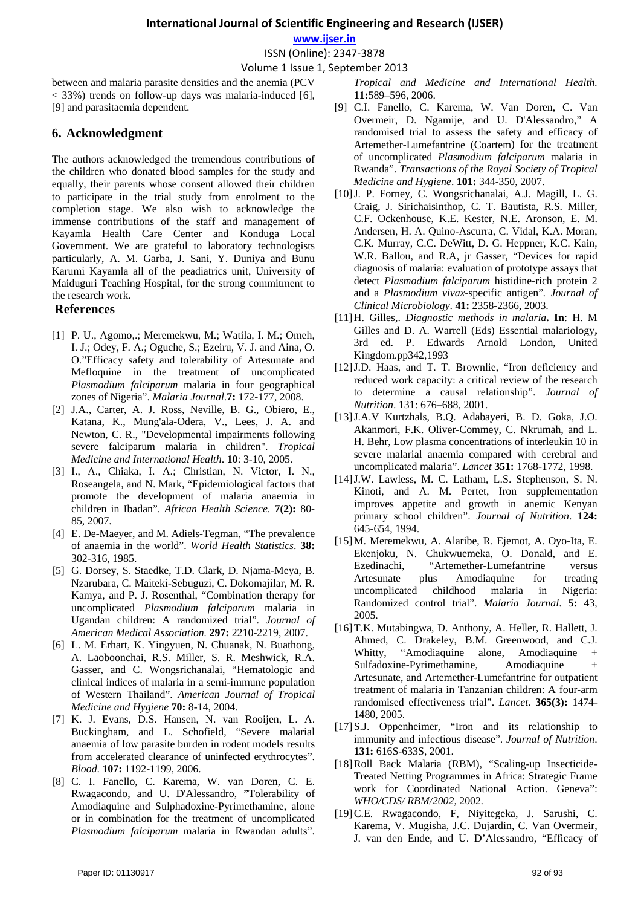**www.ijser.in**

ISSN (Online): 2347‐3878

Volume 1 Issue 1, September 2013

between and malaria parasite densities and the anemia (PCV  $<$  33%) trends on follow-up days was malaria-induced [6], [9] and parasitaemia dependent.

# **6. Acknowledgment**

The authors acknowledged the tremendous contributions of the children who donated blood samples for the study and equally, their parents whose consent allowed their children to participate in the trial study from enrolment to the completion stage. We also wish to acknowledge the immense contributions of the staff and management of Kayamla Health Care Center and Konduga Local Government. We are grateful to laboratory technologists particularly, A. M. Garba, J. Sani, Y. Duniya and Bunu Karumi Kayamla all of the peadiatrics unit, University of Maiduguri Teaching Hospital, for the strong commitment to the research work.

## **References**

- [1] P. U., Agomo,.; Meremekwu, M.; Watila, I. M.; Omeh, I. J.; Odey, F. A.; Oguche, S.; Ezeiru, V. J. and Aina, O. O."Efficacy safety and tolerability of Artesunate and Mefloquine in the treatment of uncomplicated *Plasmodium falciparum* malaria in four geographical zones of Nigeria". *Malaria Journal*.**7:** 172-177, 2008.
- [2] J.A., Carter, A. J. Ross, Neville, B. G., Obiero, E., Katana, K., Mung'ala-Odera, V., Lees, J. A. and Newton, C. R., "Developmental impairments following severe falciparum malaria in children". *Tropical Medicine and International Health*. **10**: 3-10, 2005.
- [3] I., A., Chiaka, I. A.; Christian, N. Victor, I. N., Roseangela, and N. Mark, "Epidemiological factors that promote the development of malaria anaemia in children in Ibadan". *African Health Science*. **7(2):** 80- 85, 2007.
- [4] E. De-Maeyer, and M. Adiels-Tegman, "The prevalence of anaemia in the world". *World Health Statistics*. **38:** 302-316, 1985.
- [5] G. Dorsey, S. Staedke, T.D. Clark, D. Njama-Meya, B. Nzarubara, C. Maiteki-Sebuguzi, C. Dokomajilar, M. R. Kamya, and P. J. Rosenthal, "Combination therapy for uncomplicated *Plasmodium falciparum* malaria in Ugandan children: A randomized trial". *Journal of American Medical Association.* **297:** 2210-2219, 2007.
- [6] L. M. Erhart, K. Yingyuen, N. Chuanak, N. Buathong, A. Laoboonchai, R.S. Miller, S. R. Meshwick, R.A. Gasser, and C. Wongsrichanalai, "Hematologic and clinical indices of malaria in a semi-immune population of Western Thailand". *American Journal of Tropical Medicine and Hygiene* **70:** 8-14, 2004.
- [7] K. J. Evans, D.S. Hansen, N. van Rooijen, L. A. Buckingham, and L. Schofield, "Severe malarial anaemia of low parasite burden in rodent models results from accelerated clearance of uninfected erythrocytes". *Blood*. **107:** 1192-1199, 2006.
- [8] C. I. Fanello, C. Karema, W. van Doren, C. E. Rwagacondo, and U. D'Alessandro, "Tolerability of Amodiaquine and Sulphadoxine-Pyrimethamine, alone or in combination for the treatment of uncomplicated *Plasmodium falciparum* malaria in Rwandan adults".
- [9] C.I. Fanello, C. Karema, W. Van Doren, C. Van Overmeir, D. Ngamije, and U. D'Alessandro," A randomised trial to assess the safety and efficacy of Artemether-Lumefantrine (Coartem) for the treatment of uncomplicated *Plasmodium falciparum* malaria in Rwanda". *Transactions of the Royal Society of Tropical Medicine and Hygiene*. **101:** 344-350, 2007.
- [10]J. P. Forney, C. Wongsrichanalai, A.J. Magill, L. G. Craig, J. Sirichaisinthop, C. T. Bautista, R.S. Miller, C.F. Ockenhouse, K.E. Kester, N.E. Aronson, E. M. Andersen, H. A. Quino-Ascurra, C. Vidal, K.A. Moran, C.K. Murray, C.C. DeWitt, D. G. Heppner, K.C. Kain, W.R. Ballou, and R.A, jr Gasser, "Devices for rapid diagnosis of malaria: evaluation of prototype assays that detect *Plasmodium falciparum* histidine-rich protein 2 and a *Plasmodium vivax*-specific antigen"*. Journal of Clinical Microbiology*. **41:** 2358-2366, 2003.
- [11]H. Gilles,. *Diagnostic methods in malaria***. In**: H. M Gilles and D. A. Warrell (Eds) Essential malariology**,** 3rd ed. P. Edwards Arnold London, United Kingdom.pp342,1993
- [12]J.D. Haas, and T. T. Brownlie, "Iron deficiency and reduced work capacity: a critical review of the research to determine a causal relationship". *Journal of Nutrition*. 131: 676–688, 2001.
- [13]J.A.V Kurtzhals, B.Q. Adabayeri, B. D. Goka, J.O. Akanmori, F.K. Oliver-Commey, C. Nkrumah, and L. H. Behr, Low plasma concentrations of interleukin 10 in severe malarial anaemia compared with cerebral and uncomplicated malaria". *Lancet* **351:** 1768-1772, 1998.
- [14]J.W. Lawless, M. C. Latham, L.S. Stephenson, S. N. Kinoti, and A. M. Pertet, Iron supplementation improves appetite and growth in anemic Kenyan primary school children". *Journal of Nutrition*. **124:** 645-654, 1994.
- [15]M. Meremekwu, A. Alaribe, R. Ejemot, A. Oyo-Ita, E. Ekenjoku, N. Chukwuemeka, O. Donald, and E. Ezedinachi, "Artemether-Lumefantrine versus Artesunate plus Amodiaquine for treating uncomplicated childhood malaria in Nigeria: Randomized control trial". *Malaria Journal*. **5:** 43, 2005.
- [16]T.K. Mutabingwa, D. Anthony, A. Heller, R. Hallett, J. Ahmed, C. Drakeley, B.M. Greenwood, and C.J. Whitty, "Amodiaquine alone, Amodiaquine + Sulfadoxine-Pyrimethamine, Amodiaquine + Artesunate, and Artemether-Lumefantrine for outpatient treatment of malaria in Tanzanian children: A four-arm randomised effectiveness trial". *Lancet*. **365(3):** 1474- 1480, 2005.
- [17]S.J. Oppenheimer, "Iron and its relationship to immunity and infectious disease". *Journal of Nutrition*. **131:** 616S-633S, 2001.
- [18]Roll Back Malaria (RBM), "Scaling-up Insecticide-Treated Netting Programmes in Africa: Strategic Frame work for Coordinated National Action. Geneva": *WHO/CDS/ RBM/2002,* 2002*.*
- [19]C.E. Rwagacondo, F, Niyitegeka, J. Sarushi, C. Karema, V. Mugisha, J.C. Dujardin, C. Van Overmeir, J. van den Ende, and U. D'Alessandro, "Efficacy of